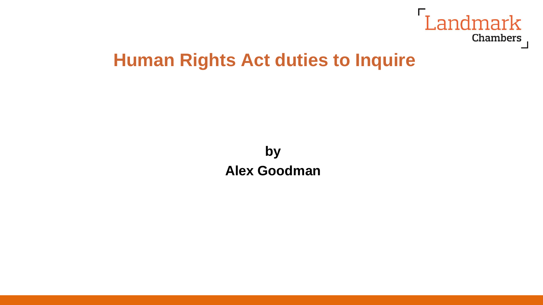

# **Human Rights Act duties to Inquire**

**by Alex Goodman**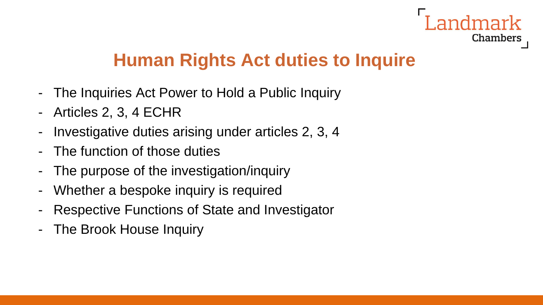

# **Human Rights Act duties to Inquire**

- The Inquiries Act Power to Hold a Public Inquiry
- Articles 2, 3, 4 ECHR
- Investigative duties arising under articles 2, 3, 4
- The function of those duties
- The purpose of the investigation/inquiry
- Whether a bespoke inquiry is required
- Respective Functions of State and Investigator
- The Brook House Inquiry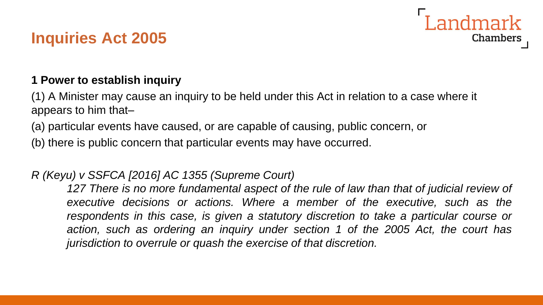# **Inquiries Act 2005**



(1) A Minister may cause an inquiry to be held under this Act in relation to a case where it appears to him that–

(a) particular events have caused, or are capable of causing, public concern, or

(b) there is public concern that particular events may have occurred.

#### *R (Keyu) v SSFCA [2016] AC 1355 (Supreme Court)*

*127 There is no more fundamental aspect of the rule of law than that of judicial review of executive decisions or actions. Where a member of the executive, such as the respondents in this case, is given a statutory discretion to take a particular course or action, such as ordering an inquiry under section 1 of the 2005 Act, the court has jurisdiction to overrule or quash the exercise of that discretion.*

Landmark

Chambers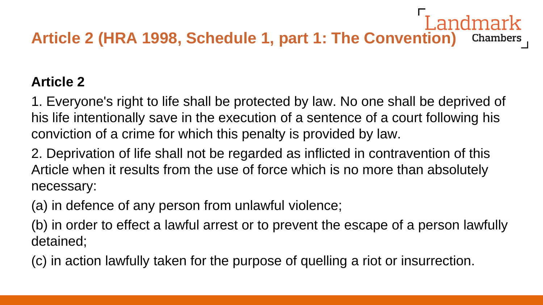# Landmark **Article 2 (HRA 1998, Schedule 1, part 1: The Convention)**

#### **Article 2**

1. Everyone's right to life shall be protected by law. No one shall be deprived of his life intentionally save in the execution of a sentence of a court following his conviction of a crime for which this penalty is provided by law.

2. Deprivation of life shall not be regarded as inflicted in contravention of this Article when it results from the use of force which is no more than absolutely necessary:

(a) in defence of any person from unlawful violence;

(b) in order to effect a lawful arrest or to prevent the escape of a person lawfully detained;

(c) in action lawfully taken for the purpose of quelling a riot or insurrection.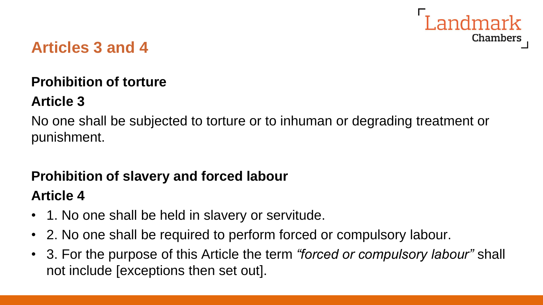

### **Articles 3 and 4**

### **Prohibition of torture**

#### **Article 3**

No one shall be subjected to torture or to inhuman or degrading treatment or punishment.

# **Prohibition of slavery and forced labour**

#### **Article 4**

- 1. No one shall be held in slavery or servitude.
- 2. No one shall be required to perform forced or compulsory labour.
- 3. For the purpose of this Article the term *"forced or compulsory labour"* shall not include [exceptions then set out].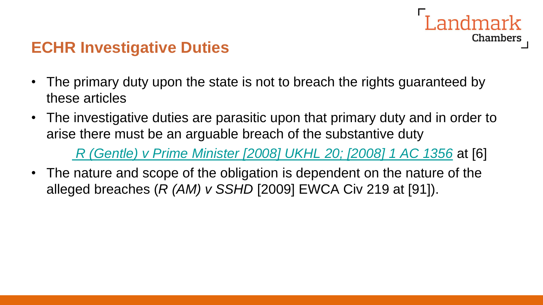

### **ECHR Investigative Duties**

- The primary duty upon the state is not to breach the rights guaranteed by these articles
- The investigative duties are parasitic upon that primary duty and in order to arise there must be an arguable breach of the substantive duty

*[R \(Gentle\) v Prime Minister \[2008\] UKHL](https://login.westlaw.co.uk/maf/wluk/app/document?src=doc&linktype=ref&context=61&crumb-action=replace&docguid=IF72FD12006BB11DD9648D6D9C2D79D32) 20; [2008] 1 AC 1356* at [6]

• The nature and scope of the obligation is dependent on the nature of the alleged breaches (*R (AM) v SSHD* [2009] EWCA Civ 219 at [91]).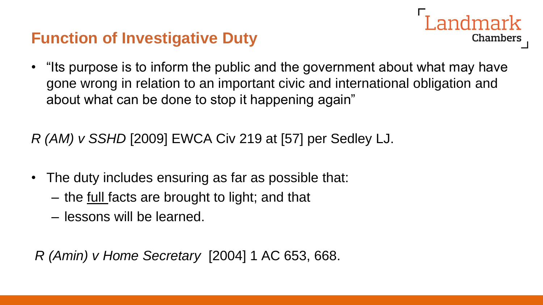# **Function of Investigative Duty**



• "Its purpose is to inform the public and the government about what may have gone wrong in relation to an important civic and international obligation and about what can be done to stop it happening again"

*R (AM) v SSHD* [2009] EWCA Civ 219 at [57] per Sedley LJ.

- The duty includes ensuring as far as possible that:
	- the full facts are brought to light; and that
	- lessons will be learned.

*R (Amin) v Home Secretary* [2004] 1 AC 653, 668.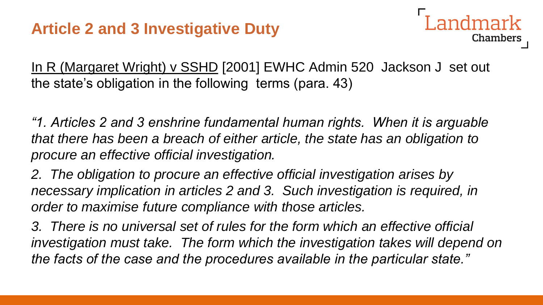### **Article 2 and 3 Investigative Duty**

Chambers

In R (Margaret Wright) v SSHD [2001] EWHC Admin 520 Jackson J set out the state's obligation in the following terms (para. 43)

*"1. Articles 2 and 3 enshrine fundamental human rights. When it is arguable that there has been a breach of either article, the state has an obligation to procure an effective official investigation.*

*2. The obligation to procure an effective official investigation arises by necessary implication in articles 2 and 3. Such investigation is required, in order to maximise future compliance with those articles.*

*3. There is no universal set of rules for the form which an effective official investigation must take. The form which the investigation takes will depend on the facts of the case and the procedures available in the particular state."*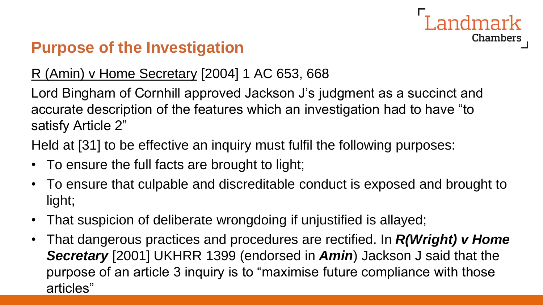# Landmark **Chambers**

# **Purpose of the Investigation**

### R (Amin) v Home Secretary [2004] 1 AC 653, 668

Lord Bingham of Cornhill approved Jackson J's judgment as a succinct and accurate description of the features which an investigation had to have "to satisfy Article 2"

Held at [31] to be effective an inquiry must fulfil the following purposes:

- To ensure the full facts are brought to light;
- To ensure that culpable and discreditable conduct is exposed and brought to light;
- That suspicion of deliberate wrongdoing if unjustified is allayed;
- That dangerous practices and procedures are rectified. In *R(Wright) v Home Secretary* [2001] UKHRR 1399 (endorsed in *Amin*) Jackson J said that the purpose of an article 3 inquiry is to "maximise future compliance with those articles"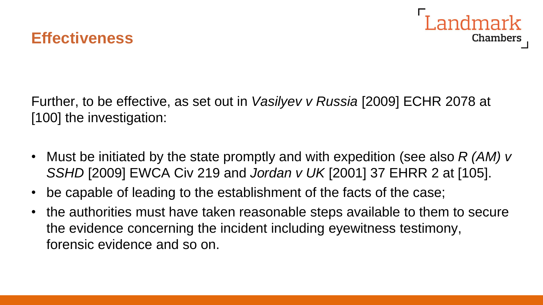



Further, to be effective, as set out in *Vasilyev v Russia* [2009] ECHR 2078 at [100] the investigation:

- Must be initiated by the state promptly and with expedition (see also *R (AM) v SSHD* [2009] EWCA Civ 219 and *Jordan v UK* [2001] 37 EHRR 2 at [105].
- be capable of leading to the establishment of the facts of the case;
- the authorities must have taken reasonable steps available to them to secure the evidence concerning the incident including eyewitness testimony, forensic evidence and so on.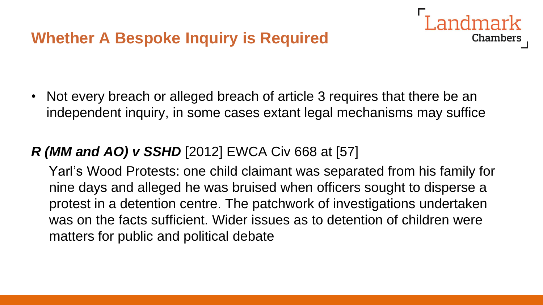

Chambers

#### *R (MM and AO) v SSHD* [2012] EWCA Civ 668 at [57]

Yarl's Wood Protests: one child claimant was separated from his family for nine days and alleged he was bruised when officers sought to disperse a protest in a detention centre. The patchwork of investigations undertaken was on the facts sufficient. Wider issues as to detention of children were matters for public and political debate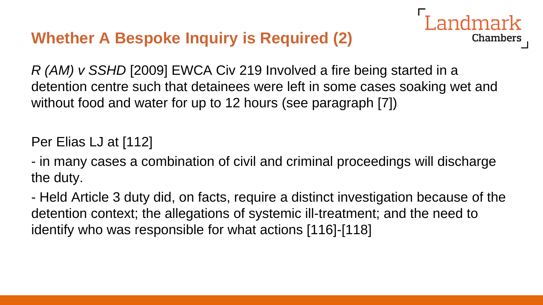# **Whether A Bespoke Inquiry is Required (2)**

*R (AM) v SSHD* [2009] EWCA Civ 219 Involved a fire being started in a detention centre such that detainees were left in some cases soaking wet and without food and water for up to 12 hours (see paragraph [7])

ndmark

Chambers

Per Elias LJ at [112]

- in many cases a combination of civil and criminal proceedings will discharge the duty.

- Held Article 3 duty did, on facts, require a distinct investigation because of the detention context; the allegations of systemic ill-treatment; and the need to identify who was responsible for what actions [116]-[118]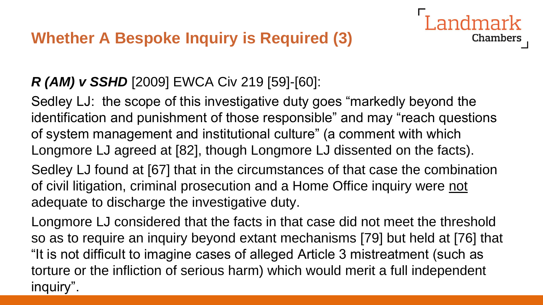# *R (AM) v SSHD* [2009] EWCA Civ 219 [59]-[60]:

Sedley LJ: the scope of this investigative duty goes "markedly beyond the identification and punishment of those responsible" and may "reach questions of system management and institutional culture" (a comment with which Longmore LJ agreed at [82], though Longmore LJ dissented on the facts).

**Chambers** 

Sedley LJ found at [67] that in the circumstances of that case the combination of civil litigation, criminal prosecution and a Home Office inquiry were not adequate to discharge the investigative duty.

Longmore LJ considered that the facts in that case did not meet the threshold so as to require an inquiry beyond extant mechanisms [79] but held at [76] that "It is not difficult to imagine cases of alleged Article 3 mistreatment (such as torture or the infliction of serious harm) which would merit a full independent inquiry".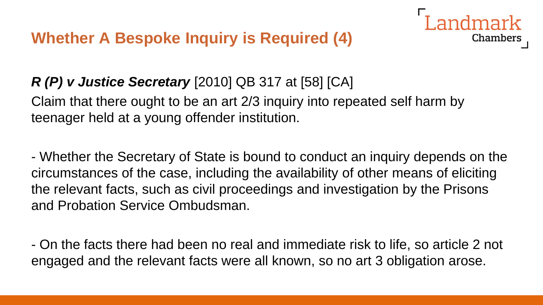**Whether A Bespoke Inquiry is Required (4)**



Claim that there ought to be an art 2/3 inquiry into repeated self harm by teenager held at a young offender institution.

- Whether the Secretary of State is bound to conduct an inquiry depends on the circumstances of the case, including the availability of other means of eliciting the relevant facts, such as civil proceedings and investigation by the Prisons and Probation Service Ombudsman.

Chambers

- On the facts there had been no real and immediate risk to life, so article 2 not engaged and the relevant facts were all known, so no art 3 obligation arose.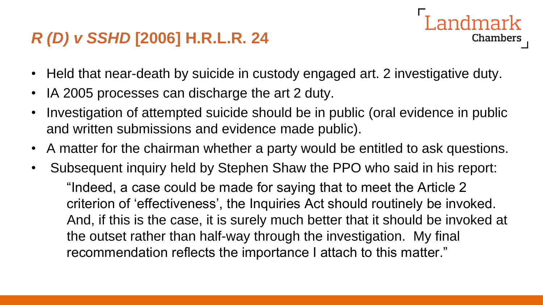# *R (D) v SSHD* **[2006] H.R.L.R. 24**

- **Chambers**
- Held that near-death by suicide in custody engaged art. 2 investigative duty.
- IA 2005 processes can discharge the art 2 duty.
- Investigation of attempted suicide should be in public (oral evidence in public and written submissions and evidence made public).
- A matter for the chairman whether a party would be entitled to ask questions.
- Subsequent inquiry held by Stephen Shaw the PPO who said in his report: "Indeed, a case could be made for saying that to meet the Article 2 criterion of 'effectiveness', the Inquiries Act should routinely be invoked. And, if this is the case, it is surely much better that it should be invoked at the outset rather than half-way through the investigation. My final recommendation reflects the importance I attach to this matter."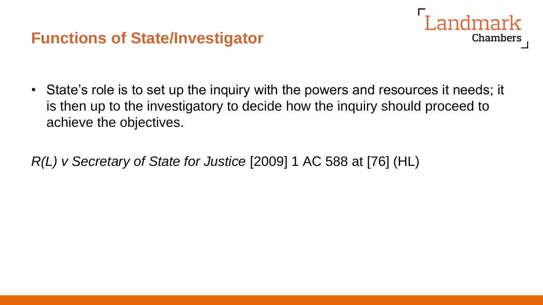### **Functions of State/Investigator**



• State's role is to set up the inquiry with the powers and resources it needs; it is then up to the investigatory to decide how the inquiry should proceed to achieve the objectives.

*R(L) v Secretary of State for Justice* [2009] 1 AC 588 at [76] (HL)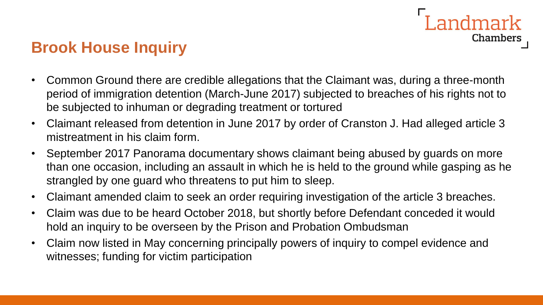# Landmark Chambers

# **Brook House Inquiry**

- Common Ground there are credible allegations that the Claimant was, during a three-month period of immigration detention (March-June 2017) subjected to breaches of his rights not to be subjected to inhuman or degrading treatment or tortured
- Claimant released from detention in June 2017 by order of Cranston J. Had alleged article 3 mistreatment in his claim form.
- September 2017 Panorama documentary shows claimant being abused by guards on more than one occasion, including an assault in which he is held to the ground while gasping as he strangled by one guard who threatens to put him to sleep.
- Claimant amended claim to seek an order requiring investigation of the article 3 breaches.
- Claim was due to be heard October 2018, but shortly before Defendant conceded it would hold an inquiry to be overseen by the Prison and Probation Ombudsman
- Claim now listed in May concerning principally powers of inquiry to compel evidence and witnesses; funding for victim participation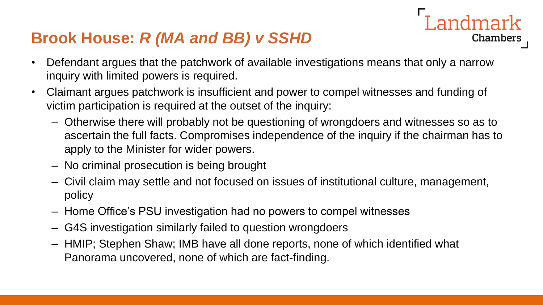## **Brook House:** *R (MA and BB) v SSHD*

- Defendant argues that the patchwork of available investigations means that only a narrow inquiry with limited powers is required.
- Claimant argues patchwork is insufficient and power to compel witnesses and funding of victim participation is required at the outset of the inquiry:
	- Otherwise there will probably not be questioning of wrongdoers and witnesses so as to ascertain the full facts. Compromises independence of the inquiry if the chairman has to apply to the Minister for wider powers.

**Landmark** 

Chambers

- No criminal prosecution is being brought
- Civil claim may settle and not focused on issues of institutional culture, management, policy
- Home Office's PSU investigation had no powers to compel witnesses
- G4S investigation similarly failed to question wrongdoers
- HMIP; Stephen Shaw; IMB have all done reports, none of which identified what Panorama uncovered, none of which are fact-finding.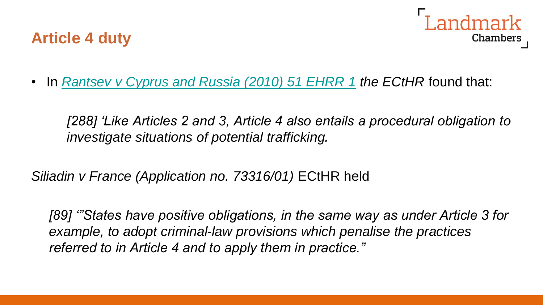



• In *Rantsev [v Cyprus and Russia \(2010\) 51 EHRR](https://login.westlaw.co.uk/maf/wluk/app/document?src=doc&linktype=ref&context=17&crumb-action=replace&docguid=IBEE2EB40780B11DF9106805181B10726) 1 the ECtHR* found that:

*[288] 'Like Articles 2 and 3, Article 4 also entails a procedural obligation to investigate situations of potential trafficking.*

*Siliadin v France (Application no. 73316/01)* ECtHR held

*[89] '"States have positive obligations, in the same way as under Article 3 for example, to adopt criminal-law provisions which penalise the practices referred to in Article 4 and to apply them in practice."*